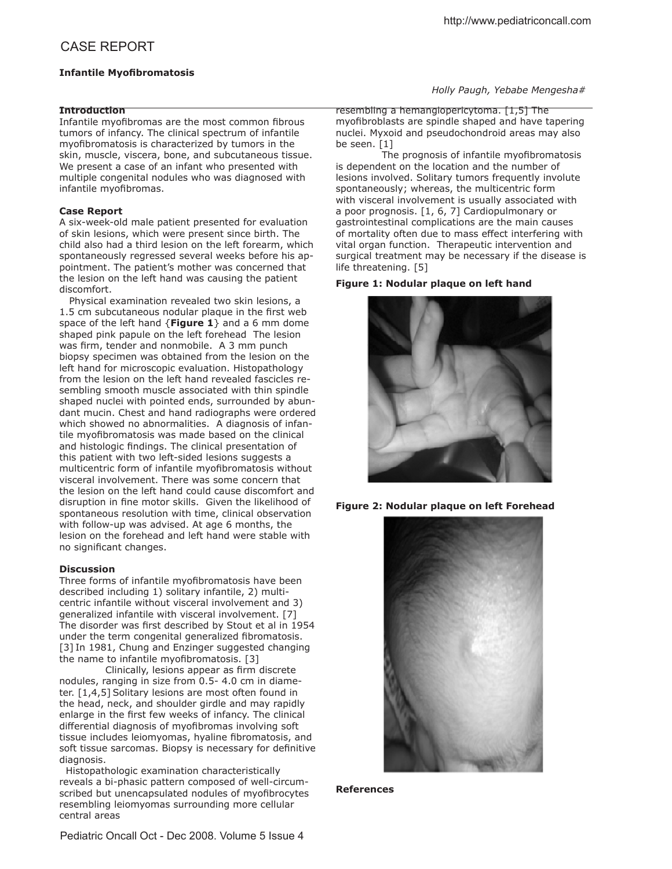# **Infantile Myofibromatosis**

# **Introduction**

Infantile myofibromas are the most common fibrous tumors of infancy. The clinical spectrum of infantile myofibromatosis is characterized by tumors in the skin, muscle, viscera, bone, and subcutaneous tissue. We present a case of an infant who presented with multiple congenital nodules who was diagnosed with infantile myofibromas.

### **Case Report**

A six-week-old male patient presented for evaluation of skin lesions, which were present since birth. The child also had a third lesion on the left forearm, which spontaneously regressed several weeks before his appointment. The patient's mother was concerned that the lesion on the left hand was causing the patient discomfort.

 Physical examination revealed two skin lesions, a 1.5 cm subcutaneous nodular plaque in the first web space of the left hand {**Figure 1**} and a 6 mm dome shaped pink papule on the left forehead The lesion was firm, tender and nonmobile. A 3 mm punch biopsy specimen was obtained from the lesion on the left hand for microscopic evaluation. Histopathology from the lesion on the left hand revealed fascicles resembling smooth muscle associated with thin spindle shaped nuclei with pointed ends, surrounded by abundant mucin. Chest and hand radiographs were ordered which showed no abnormalities. A diagnosis of infantile myofibromatosis was made based on the clinical and histologic findings. The clinical presentation of this patient with two left-sided lesions suggests a multicentric form of infantile myofibromatosis without visceral involvement. There was some concern that the lesion on the left hand could cause discomfort and disruption in fine motor skills. Given the likelihood of spontaneous resolution with time, clinical observation with follow-up was advised. At age 6 months, the lesion on the forehead and left hand were stable with no significant changes.

#### **Discussion**

Three forms of infantile myofibromatosis have been described including 1) solitary infantile, 2) multicentric infantile without visceral involvement and 3) generalized infantile with visceral involvement. [7] The disorder was first described by Stout et al in 1954 under the term congenital generalized fibromatosis. [3] In 1981, Chung and Enzinger suggested changing the name to infantile myofibromatosis.  $[3]$ 

Clinically, lesions appear as firm discrete nodules, ranging in size from 0.5- 4.0 cm in diameter. [1,4,5] Solitary lesions are most often found in the head, neck, and shoulder girdle and may rapidly enlarge in the first few weeks of infancy. The clinical differential diagnosis of myofibromas involving soft tissue includes leiomyomas, hyaline fibromatosis, and soft tissue sarcomas. Biopsy is necessary for definitive diagnosis.

 Histopathologic examination characteristically reveals a bi-phasic pattern composed of well-circumscribed but unencapsulated nodules of myofibrocytes resembling leiomyomas surrounding more cellular central areas

*Holly Paugh, Yebabe Mengesha#*

resembling a hemangiopericytoma. [1,5] The myofibroblasts are spindle shaped and have tapering nuclei. Myxoid and pseudochondroid areas may also be seen. [1]

The prognosis of infantile myofibromatosis is dependent on the location and the number of lesions involved. Solitary tumors frequently involute spontaneously; whereas, the multicentric form with visceral involvement is usually associated with a poor prognosis. [1, 6, 7] Cardiopulmonary or gastrointestinal complications are the main causes of mortality often due to mass efect interfering with vital organ function. Therapeutic intervention and surgical treatment may be necessary if the disease is life threatening. [5]

### **Figure 1: Nodular plaque on left hand**



**Figure 2: Nodular plaque on left Forehead**



#### **References**